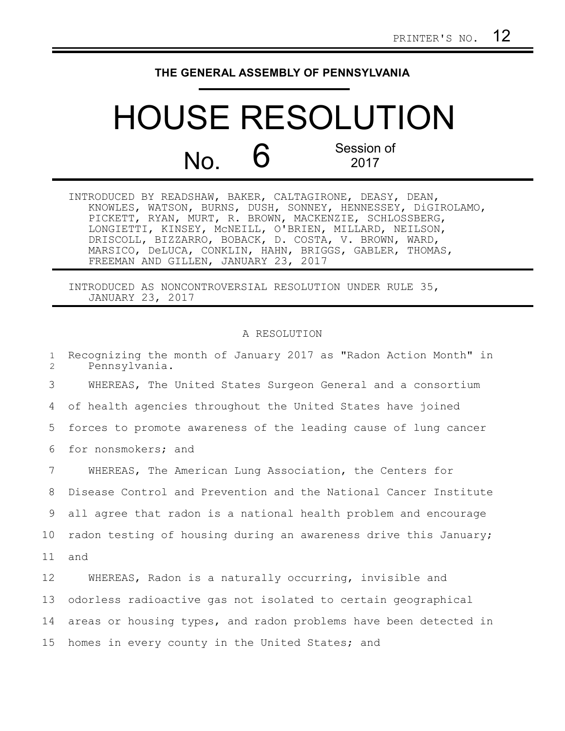## **THE GENERAL ASSEMBLY OF PENNSYLVANIA**

## HOUSE RESOLUTION  $N<sub>0</sub>$  6 Session of 2017

| INTRODUCED BY READSHAW, BAKER, CALTAGIRONE, DEASY, DEAN,     |
|--------------------------------------------------------------|
| KNOWLES, WATSON, BURNS, DUSH, SONNEY, HENNESSEY, DiGIROLAMO, |
| PICKETT, RYAN, MURT, R. BROWN, MACKENZIE, SCHLOSSBERG,       |
| LONGIETTI, KINSEY, MCNEILL, O'BRIEN, MILLARD, NEILSON,       |
| DRISCOLL, BIZZARRO, BOBACK, D. COSTA, V. BROWN, WARD,        |
| MARSICO, DeLUCA, CONKLIN, HAHN, BRIGGS, GABLER, THOMAS,      |
| FREEMAN AND GILLEN, JANUARY 23, 2017                         |

INTRODUCED AS NONCONTROVERSIAL RESOLUTION UNDER RULE 35, JANUARY 23, 2017

## A RESOLUTION

Recognizing the month of January 2017 as "Radon Action Month" in Pennsylvania. WHEREAS, The United States Surgeon General and a consortium of health agencies throughout the United States have joined forces to promote awareness of the leading cause of lung cancer for nonsmokers; and WHEREAS, The American Lung Association, the Centers for Disease Control and Prevention and the National Cancer Institute all agree that radon is a national health problem and encourage radon testing of housing during an awareness drive this January; and WHEREAS, Radon is a naturally occurring, invisible and odorless radioactive gas not isolated to certain geographical areas or housing types, and radon problems have been detected in homes in every county in the United States; and 1  $\mathcal{D}$ 3 4 5 6 7 8 9 10 11 12 13 14 15